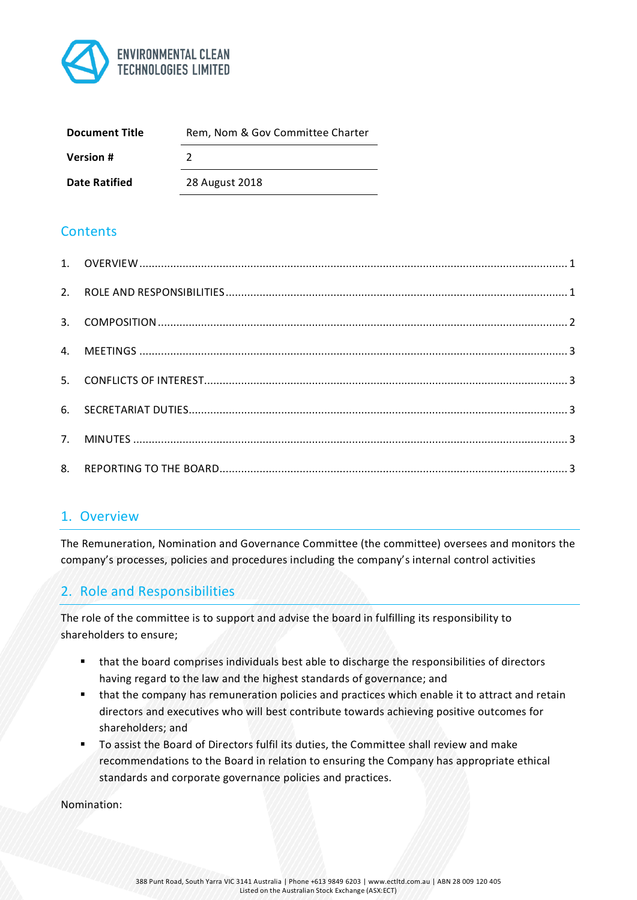

| <b>Document Title</b> | Rem, Nom & Gov Committee Charter |
|-----------------------|----------------------------------|
| <b>Version #</b>      |                                  |
| <b>Date Ratified</b>  | 28 August 2018                   |

# **Contents**

### 1. Overview

The Remuneration, Nomination and Governance Committee (the committee) oversees and monitors the company's processes, policies and procedures including the company's internal control activities

# 2. Role and Responsibilities

The role of the committee is to support and advise the board in fulfilling its responsibility to shareholders to ensure;

- § that the board comprises individuals best able to discharge the responsibilities of directors having regard to the law and the highest standards of governance; and
- that the company has remuneration policies and practices which enable it to attract and retain directors and executives who will best contribute towards achieving positive outcomes for shareholders; and
- To assist the Board of Directors fulfil its duties, the Committee shall review and make recommendations to the Board in relation to ensuring the Company has appropriate ethical standards and corporate governance policies and practices.

Nomination: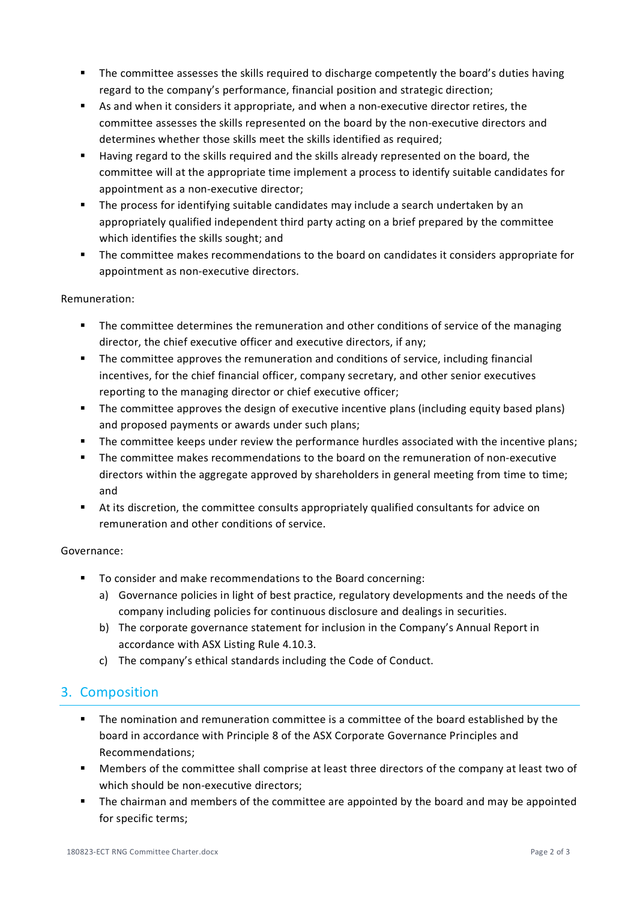- **•** The committee assesses the skills required to discharge competently the board's duties having regard to the company's performance, financial position and strategic direction;
- § As and when it considers it appropriate, and when a non-executive director retires, the committee assesses the skills represented on the board by the non-executive directors and determines whether those skills meet the skills identified as required;
- **■** Having regard to the skills required and the skills already represented on the board, the committee will at the appropriate time implement a process to identify suitable candidates for appointment as a non-executive director;
- The process for identifying suitable candidates may include a search undertaken by an appropriately qualified independent third party acting on a brief prepared by the committee which identifies the skills sought; and
- § The committee makes recommendations to the board on candidates it considers appropriate for appointment as non-executive directors.

#### Remuneration:

- The committee determines the remuneration and other conditions of service of the managing director, the chief executive officer and executive directors, if any;
- § The committee approves the remuneration and conditions of service, including financial incentives, for the chief financial officer, company secretary, and other senior executives reporting to the managing director or chief executive officer;
- § The committee approves the design of executive incentive plans (including equity based plans) and proposed payments or awards under such plans;
- § The committee keeps under review the performance hurdles associated with the incentive plans;
- § The committee makes recommendations to the board on the remuneration of non-executive directors within the aggregate approved by shareholders in general meeting from time to time; and
- **•** At its discretion, the committee consults appropriately qualified consultants for advice on remuneration and other conditions of service.

#### Governance:

- To consider and make recommendations to the Board concerning:
	- a) Governance policies in light of best practice, regulatory developments and the needs of the company including policies for continuous disclosure and dealings in securities.
	- b) The corporate governance statement for inclusion in the Company's Annual Report in accordance with ASX Listing Rule 4.10.3.
	- c) The company's ethical standards including the Code of Conduct.

## 3. Composition

- § The nomination and remuneration committee is a committee of the board established by the board in accordance with Principle 8 of the ASX Corporate Governance Principles and Recommendations;
- § Members of the committee shall comprise at least three directors of the company at least two of which should be non-executive directors;
- The chairman and members of the committee are appointed by the board and may be appointed for specific terms;